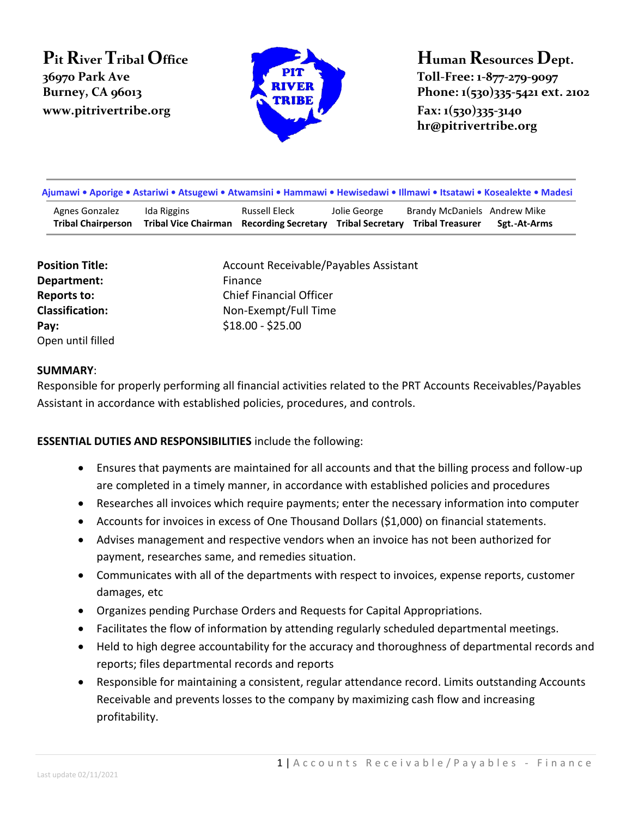# **Pit River Tribal Office 36970 Park Ave www.pitrivertribe.org Fax: 1(530)335-3140**



# **Human Resources Dept. Toll-Free: 1-877-279-9097 Burney, CA 96013 Phone: 1(530)335-5421 ext. 2102**

**hr@pitrivertribe.org**

| Ajumawi • Aporige • Astariwi • Atsugewi • Atwamsini • Hammawi • Hewisedawi • Illmawi • Itsatawi • Kosealekte • Madesi |                                                                                           |               |              |                              |              |  |
|-----------------------------------------------------------------------------------------------------------------------|-------------------------------------------------------------------------------------------|---------------|--------------|------------------------------|--------------|--|
| Agnes Gonzalez<br><b>Tribal Chairperson</b>                                                                           | Ida Riggins<br>Tribal Vice Chairman Recording Secretary Tribal Secretary Tribal Treasurer | Russell Eleck | Jolie George | Brandy McDaniels Andrew Mike | Sgt.-At-Arms |  |

| <b>Position Title:</b> | Account Receivable/Payables Assistant |
|------------------------|---------------------------------------|
| Department:            | Finance                               |
| Reports to:            | <b>Chief Financial Officer</b>        |
| <b>Classification:</b> | Non-Exempt/Full Time                  |
| Pay:                   | $$18.00 - $25.00$                     |
| Open until filled      |                                       |

#### **SUMMARY**:

Responsible for properly performing all financial activities related to the PRT Accounts Receivables/Payables Assistant in accordance with established policies, procedures, and controls.

#### **ESSENTIAL DUTIES AND RESPONSIBILITIES** include the following:

- Ensures that payments are maintained for all accounts and that the billing process and follow-up are completed in a timely manner, in accordance with established policies and procedures
- Researches all invoices which require payments; enter the necessary information into computer
- Accounts for invoices in excess of One Thousand Dollars (\$1,000) on financial statements.
- Advises management and respective vendors when an invoice has not been authorized for payment, researches same, and remedies situation.
- Communicates with all of the departments with respect to invoices, expense reports, customer damages, etc
- Organizes pending Purchase Orders and Requests for Capital Appropriations.
- Facilitates the flow of information by attending regularly scheduled departmental meetings.
- Held to high degree accountability for the accuracy and thoroughness of departmental records and reports; files departmental records and reports
- Responsible for maintaining a consistent, regular attendance record. Limits outstanding Accounts Receivable and prevents losses to the company by maximizing cash flow and increasing profitability.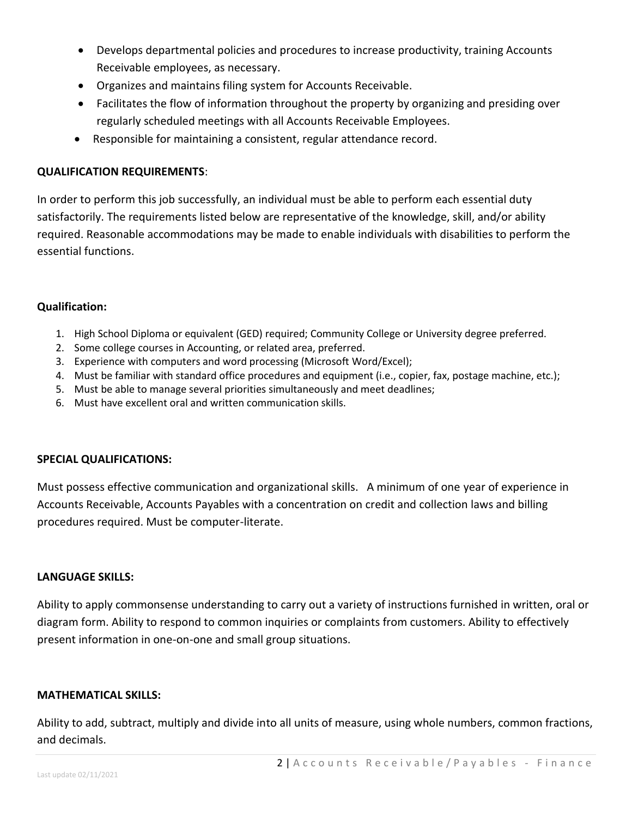- Develops departmental policies and procedures to increase productivity, training Accounts Receivable employees, as necessary.
- Organizes and maintains filing system for Accounts Receivable.
- Facilitates the flow of information throughout the property by organizing and presiding over regularly scheduled meetings with all Accounts Receivable Employees.
- Responsible for maintaining a consistent, regular attendance record.

#### **QUALIFICATION REQUIREMENTS**:

In order to perform this job successfully, an individual must be able to perform each essential duty satisfactorily. The requirements listed below are representative of the knowledge, skill, and/or ability required. Reasonable accommodations may be made to enable individuals with disabilities to perform the essential functions.

### **Qualification:**

- 1. High School Diploma or equivalent (GED) required; Community College or University degree preferred.
- 2. Some college courses in Accounting, or related area, preferred.
- 3. Experience with computers and word processing (Microsoft Word/Excel);
- 4. Must be familiar with standard office procedures and equipment (i.e., copier, fax, postage machine, etc.);
- 5. Must be able to manage several priorities simultaneously and meet deadlines;
- 6. Must have excellent oral and written communication skills.

#### **SPECIAL QUALIFICATIONS:**

Must possess effective communication and organizational skills. A minimum of one year of experience in Accounts Receivable, Accounts Payables with a concentration on credit and collection laws and billing procedures required. Must be computer-literate.

#### **LANGUAGE SKILLS:**

Ability to apply commonsense understanding to carry out a variety of instructions furnished in written, oral or diagram form. Ability to respond to common inquiries or complaints from customers. Ability to effectively present information in one-on-one and small group situations.

#### **MATHEMATICAL SKILLS:**

Ability to add, subtract, multiply and divide into all units of measure, using whole numbers, common fractions, and decimals.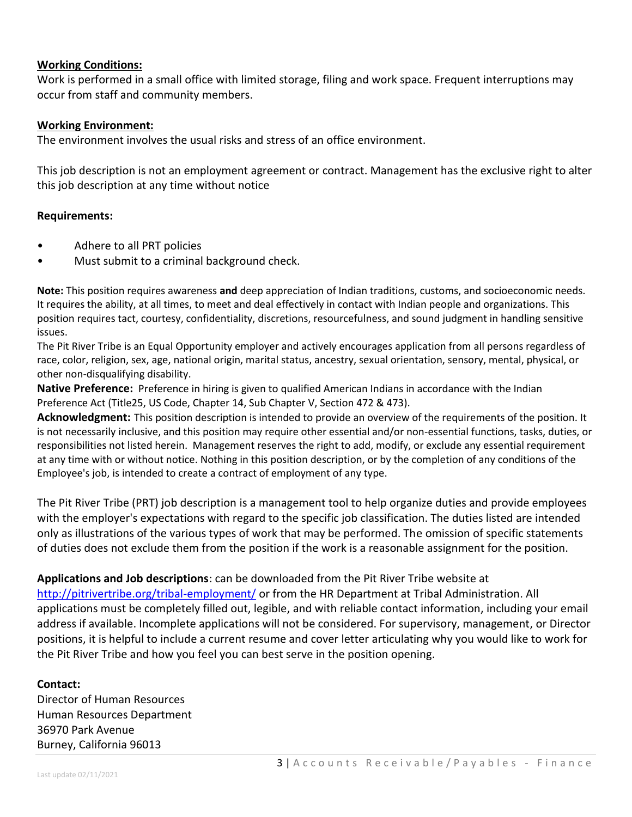#### **Working Conditions:**

Work is performed in a small office with limited storage, filing and work space. Frequent interruptions may occur from staff and community members.

#### **Working Environment:**

The environment involves the usual risks and stress of an office environment.

This job description is not an employment agreement or contract. Management has the exclusive right to alter this job description at any time without notice

#### **Requirements:**

- Adhere to all PRT policies
- Must submit to a criminal background check.

**Note:** This position requires awareness **and** deep appreciation of Indian traditions, customs, and socioeconomic needs. It requires the ability, at all times, to meet and deal effectively in contact with Indian people and organizations. This position requires tact, courtesy, confidentiality, discretions, resourcefulness, and sound judgment in handling sensitive issues.

The Pit River Tribe is an Equal Opportunity employer and actively encourages application from all persons regardless of race, color, religion, sex, age, national origin, marital status, ancestry, sexual orientation, sensory, mental, physical, or other non-disqualifying disability.

**Native Preference:** Preference in hiring is given to qualified American Indians in accordance with the Indian Preference Act (Title25, US Code, Chapter 14, Sub Chapter V, Section 472 & 473).

**Acknowledgment:** This position description is intended to provide an overview of the requirements of the position. It is not necessarily inclusive, and this position may require other essential and/or non-essential functions, tasks, duties, or responsibilities not listed herein. Management reserves the right to add, modify, or exclude any essential requirement at any time with or without notice. Nothing in this position description, or by the completion of any conditions of the Employee's job, is intended to create a contract of employment of any type.

The Pit River Tribe (PRT) job description is a management tool to help organize duties and provide employees with the employer's expectations with regard to the specific job classification. The duties listed are intended only as illustrations of the various types of work that may be performed. The omission of specific statements of duties does not exclude them from the position if the work is a reasonable assignment for the position.

## **Applications and Job descriptions**: can be downloaded from the Pit River Tribe website at

<http://pitrivertribe.org/tribal-employment/> or from the HR Department at Tribal Administration. All applications must be completely filled out, legible, and with reliable contact information, including your email address if available. Incomplete applications will not be considered. For supervisory, management, or Director positions, it is helpful to include a current resume and cover letter articulating why you would like to work for the Pit River Tribe and how you feel you can best serve in the position opening.

#### **Contact:**

Director of Human Resources Human Resources Department 36970 Park Avenue Burney, California 96013